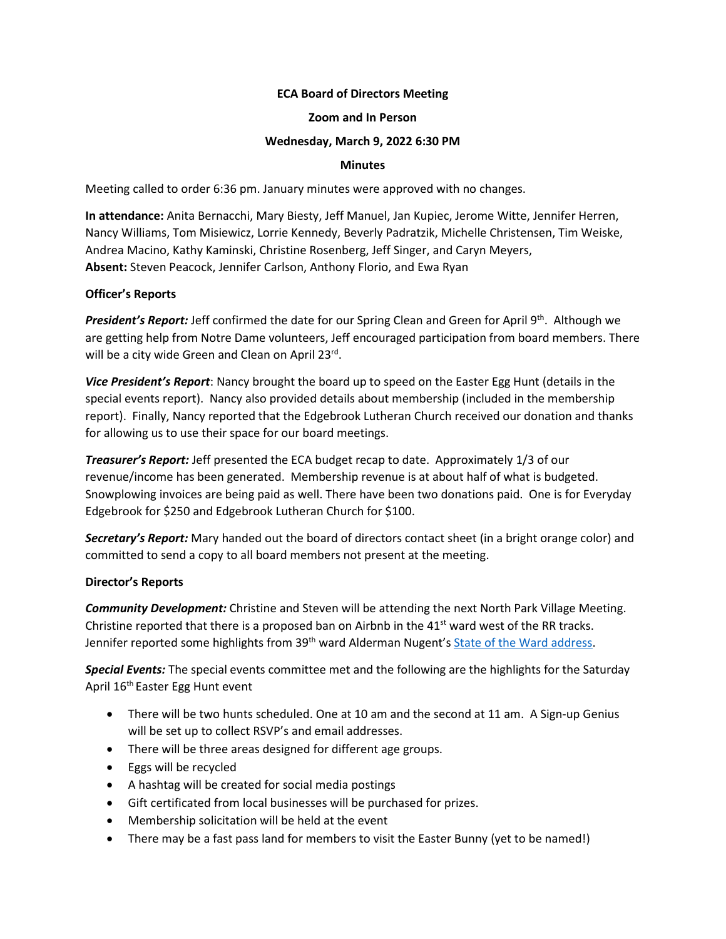# **ECA Board of Directors Meeting**

## **Zoom and In Person**

# **Wednesday, March 9, 2022 6:30 PM**

### **Minutes**

Meeting called to order 6:36 pm. January minutes were approved with no changes.

**In attendance:** Anita Bernacchi, Mary Biesty, Jeff Manuel, Jan Kupiec, Jerome Witte, Jennifer Herren, Nancy Williams, Tom Misiewicz, Lorrie Kennedy, Beverly Padratzik, Michelle Christensen, Tim Weiske, Andrea Macino, Kathy Kaminski, Christine Rosenberg, Jeff Singer, and Caryn Meyers, **Absent:** Steven Peacock, Jennifer Carlson, Anthony Florio, and Ewa Ryan

# **Officer's Reports**

**President's Report:** Jeff confirmed the date for our Spring Clean and Green for April 9th. Although we are getting help from Notre Dame volunteers, Jeff encouraged participation from board members. There will be a city wide Green and Clean on April 23<sup>rd</sup>.

*Vice President's Report*: Nancy brought the board up to speed on the Easter Egg Hunt (details in the special events report). Nancy also provided details about membership (included in the membership report). Finally, Nancy reported that the Edgebrook Lutheran Church received our donation and thanks for allowing us to use their space for our board meetings.

*Treasurer's Report:* Jeff presented the ECA budget recap to date. Approximately 1/3 of our revenue/income has been generated. Membership revenue is at about half of what is budgeted. Snowplowing invoices are being paid as well. There have been two donations paid. One is for Everyday Edgebrook for \$250 and Edgebrook Lutheran Church for \$100.

*Secretary's Report:* Mary handed out the board of directors contact sheet (in a bright orange color) and committed to send a copy to all board members not present at the meeting.

# **Director's Reports**

*Community Development:* Christine and Steven will be attending the next North Park Village Meeting. Christine reported that there is a proposed ban on Airbnb in the  $41<sup>st</sup>$  ward west of the RR tracks. Jennifer reported some highlights from 39<sup>th</sup> ward Alderman Nugent's State of the Ward address.

*Special Events:* The special events committee met and the following are the highlights for the Saturday April 16th Easter Egg Hunt event

- There will be two hunts scheduled. One at 10 am and the second at 11 am. A Sign-up Genius will be set up to collect RSVP's and email addresses.
- There will be three areas designed for different age groups.
- Eggs will be recycled
- A hashtag will be created for social media postings
- Gift certificated from local businesses will be purchased for prizes.
- Membership solicitation will be held at the event
- There may be a fast pass land for members to visit the Easter Bunny (yet to be named!)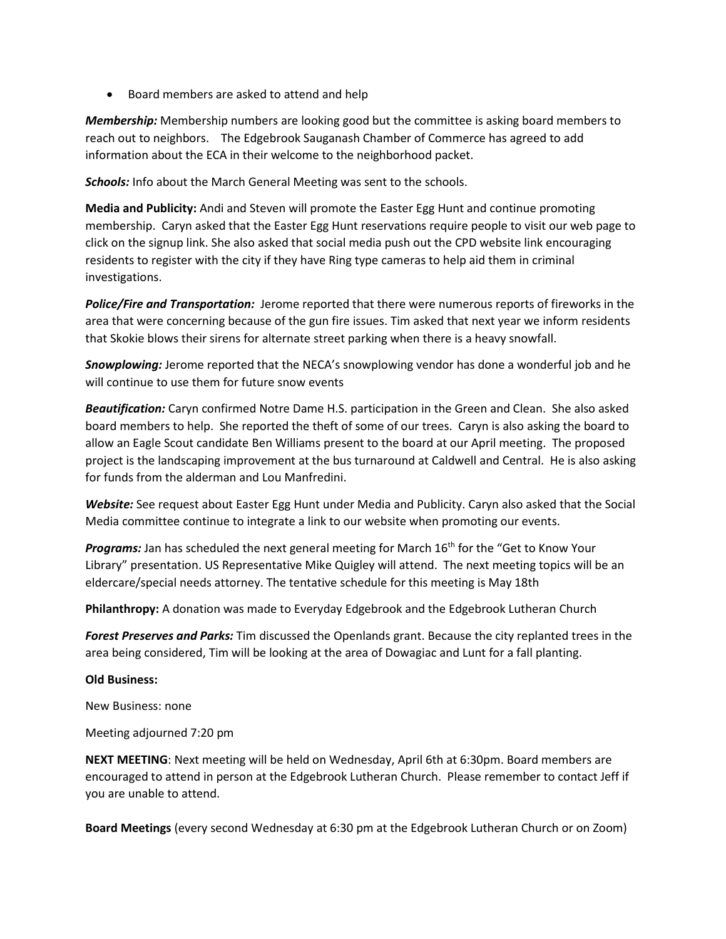• Board members are asked to attend and help

*Membership:* Membership numbers are looking good but the committee is asking board members to reach out to neighbors. The Edgebrook Sauganash Chamber of Commerce has agreed to add information about the ECA in their welcome to the neighborhood packet.

**Schools:** Info about the March General Meeting was sent to the schools.

**Media and Publicity:** Andi and Steven will promote the Easter Egg Hunt and continue promoting membership. Caryn asked that the Easter Egg Hunt reservations require people to visit our web page to click on the signup link. She also asked that social media push out the CPD website link encouraging residents to register with the city if they have Ring type cameras to help aid them in criminal investigations.

*Police/Fire and Transportation:* Jerome reported that there were numerous reports of fireworks in the area that were concerning because of the gun fire issues. Tim asked that next year we inform residents that Skokie blows their sirens for alternate street parking when there is a heavy snowfall.

*Snowplowing:* Jerome reported that the NECA's snowplowing vendor has done a wonderful job and he will continue to use them for future snow events

*Beautification:* Caryn confirmed Notre Dame H.S. participation in the Green and Clean. She also asked board members to help. She reported the theft of some of our trees. Caryn is also asking the board to allow an Eagle Scout candidate Ben Williams present to the board at our April meeting. The proposed project is the landscaping improvement at the bus turnaround at Caldwell and Central. He is also asking for funds from the alderman and Lou Manfredini.

*Website:* See request about Easter Egg Hunt under Media and Publicity. Caryn also asked that the Social Media committee continue to integrate a link to our website when promoting our events.

Programs: Jan has scheduled the next general meeting for March 16<sup>th</sup> for the "Get to Know Your Library" presentation. US Representative Mike Quigley will attend. The next meeting topics will be an eldercare/special needs attorney. The tentative schedule for this meeting is May 18th

**Philanthropy:** A donation was made to Everyday Edgebrook and the Edgebrook Lutheran Church

*Forest Preserves and Parks:* Tim discussed the Openlands grant. Because the city replanted trees in the area being considered, Tim will be looking at the area of Dowagiac and Lunt for a fall planting.

# **Old Business:**

New Business: none

Meeting adjourned 7:20 pm

**NEXT MEETING**: Next meeting will be held on Wednesday, April 6th at 6:30pm. Board members are encouraged to attend in person at the Edgebrook Lutheran Church. Please remember to contact Jeff if you are unable to attend.

**Board Meetings** (every second Wednesday at 6:30 pm at the Edgebrook Lutheran Church or on Zoom)